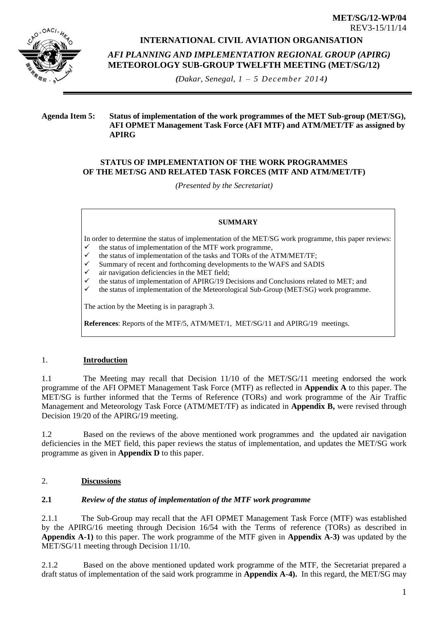

# **INTERNATIONAL CIVIL AVIATION ORGANISATION**

**MET/SG/12-WP/04** REV3-15/11/14

*AFI PLANNING AND IMPLEMENTATION REGIONAL GROUP (APIRG)* **METEOROLOGY SUB-GROUP TWELFTH MEETING (MET/SG/12)** 

*(Dakar, Senegal, 1 – 5 December 2014)*

## **Agenda Item 5: Status of implementation of the work programmes of the MET Sub-group (MET/SG), AFI OPMET Management Task Force (AFI MTF) and ATM/MET/TF as assigned by APIRG**

## **STATUS OF IMPLEMENTATION OF THE WORK PROGRAMMES OF THE MET/SG AND RELATED TASK FORCES (MTF AND ATM/MET/TF)**

*(Presented by the Secretariat)*

### **SUMMARY**

In order to determine the status of implementation of the MET/SG work programme, this paper reviews:

- the status of implementation of the MTF work programme,
- $\checkmark$  the status of implementation of the tasks and TORs of the ATM/MET/TF;
- $\checkmark$  Summary of recent and forthcoming developments to the WAFS and SADIS
- air navigation deficiencies in the MET field;
- the status of implementation of APIRG/19 Decisions and Conclusions related to MET; and
- the status of implementation of the Meteorological Sub-Group (MET/SG) work programme.

The action by the Meeting is in paragraph 3.

**References**: Reports of the MTF/5, ATM/MET/1, MET/SG/11 and APIRG/19 meetings.

## 1. **Introduction**

1.1 The Meeting may recall that Decision 11/10 of the MET/SG/11 meeting endorsed the work programme of the AFI OPMET Management Task Force (MTF) as reflected in **Appendix A** to this paper. The MET/SG is further informed that the Terms of Reference (TORs) and work programme of the Air Traffic Management and Meteorology Task Force (ATM/MET/TF) as indicated in **Appendix B,** were revised through Decision 19/20 of the APIRG/19 meeting.

1.2 Based on the reviews of the above mentioned work programmes and the updated air navigation deficiencies in the MET field, this paper reviews the status of implementation, and updates the MET/SG work programme as given in **Appendix D** to this paper.

# 2. **Discussions**

## **2.1** *Review of the status of implementation of the MTF work programme*

2.1.1 The Sub-Group may recall that the AFI OPMET Management Task Force (MTF) was established by the APIRG/16 meeting through Decision 16/54 with the Terms of reference (TORs) as described in **Appendix A-1)** to this paper. The work programme of the MTF given in **Appendix A-3)** was updated by the MET/SG/11 meeting through Decision 11/10.

2.1.2 Based on the above mentioned updated work programme of the MTF, the Secretariat prepared a draft status of implementation of the said work programme in **Appendix A-4).** In this regard, the MET/SG may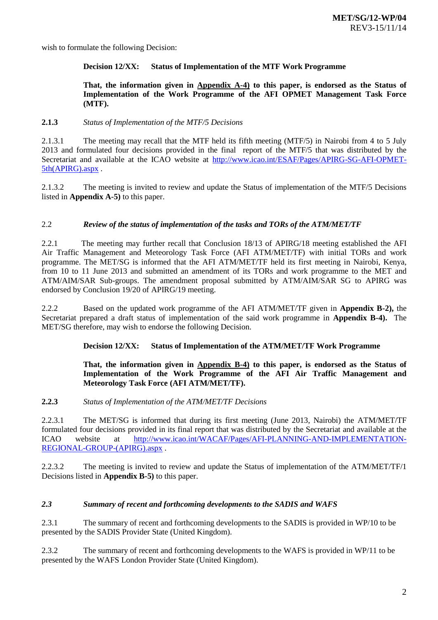wish to formulate the following Decision:

### **Decision 12/XX: Status of Implementation of the MTF Work Programme**

### **That, the information given in Appendix A-4) to this paper, is endorsed as the Status of Implementation of the Work Programme of the AFI OPMET Management Task Force (MTF).**

### **2.1.3** *Status of Implementation of the MTF/5 Decisions*

2.1.3.1 The meeting may recall that the MTF held its fifth meeting (MTF/5) in Nairobi from 4 to 5 July 2013 and formulated four decisions provided in the final report of the MTF/5 that was distributed by the Secretariat and available at the ICAO website at [http://www.icao.int/ESAF/Pages/APIRG-SG-AFI-OPMET-](http://www.icao.int/ESAF/Pages/APIRG-SG-AFI-OPMET-5th(APIRG).aspx)[5th\(APIRG\).aspx](http://www.icao.int/ESAF/Pages/APIRG-SG-AFI-OPMET-5th(APIRG).aspx) .

2.1.3.2 The meeting is invited to review and update the Status of implementation of the MTF/5 Decisions listed in **Appendix A-5)** to this paper.

## 2.2 *Review of the status of implementation of the tasks and TORs of the ATM/MET/TF*

2.2.1 The meeting may further recall that Conclusion 18/13 of APIRG/18 meeting established the AFI Air Traffic Management and Meteorology Task Force (AFI ATM/MET/TF) with initial TORs and work programme. The MET/SG is informed that the AFI ATM/MET/TF held its first meeting in Nairobi, Kenya, from 10 to 11 June 2013 and submitted an amendment of its TORs and work programme to the MET and ATM/AIM/SAR Sub-groups. The amendment proposal submitted by ATM/AIM/SAR SG to APIRG was endorsed by Conclusion 19/20 of APIRG/19 meeting.

2.2.2 Based on the updated work programme of the AFI ATM/MET/TF given in **Appendix B-2),** the Secretariat prepared a draft status of implementation of the said work programme in **Appendix B-4).** The MET/SG therefore, may wish to endorse the following Decision.

### **Decision 12/XX: Status of Implementation of the ATM/MET/TF Work Programme**

### **That, the information given in Appendix B-4) to this paper, is endorsed as the Status of Implementation of the Work Programme of the AFI Air Traffic Management and Meteorology Task Force (AFI ATM/MET/TF).**

### **2.2.3** *Status of Implementation of the ATM/MET/TF Decisions*

2.2.3.1 The MET/SG is informed that during its first meeting (June 2013, Nairobi) the ATM/MET/TF formulated four decisions provided in its final report that was distributed by the Secretariat and available at the ICAO website at http://www.icao.int/WACAF/Pages/AFI-PLANNING-AND-IMPLEMENTATION-ICAO website at [http://www.icao.int/WACAF/Pages/AFI-PLANNING-AND-IMPLEMENTATION-](http://www.icao.int/WACAF/Pages/AFI-PLANNING-AND-IMPLEMENTATION-REGIONAL-GROUP-(APIRG).aspx)[REGIONAL-GROUP-\(APIRG\).aspx](http://www.icao.int/WACAF/Pages/AFI-PLANNING-AND-IMPLEMENTATION-REGIONAL-GROUP-(APIRG).aspx) .

2.2.3.2 The meeting is invited to review and update the Status of implementation of the ATM/MET/TF/1 Decisions listed in **Appendix B-5)** to this paper.

## *2.3 Summary of recent and forthcoming developments to the SADIS and WAFS*

2.3.1 The summary of recent and forthcoming developments to the SADIS is provided in WP/10 to be presented by the SADIS Provider State (United Kingdom).

2.3.2 The summary of recent and forthcoming developments to the WAFS is provided in WP/11 to be presented by the WAFS London Provider State (United Kingdom).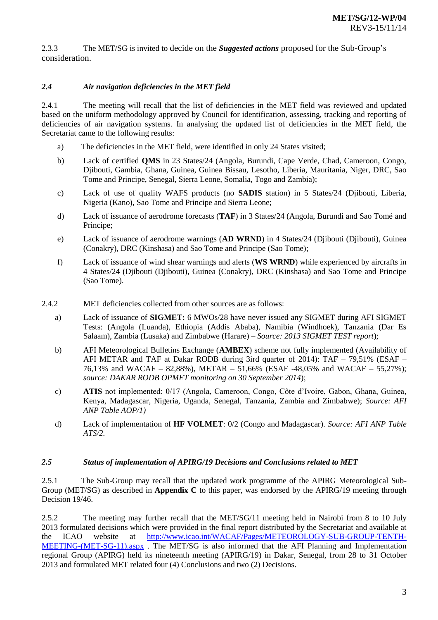2.3.3 The MET/SG is invited to decide on the *Suggested actions* proposed for the Sub-Group's consideration.

## *2.4 Air navigation deficiencies in the MET field*

2.4.1 The meeting will recall that the list of deficiencies in the MET field was reviewed and updated based on the uniform methodology approved by Council for identification, assessing, tracking and reporting of deficiencies of air navigation systems. In analysing the updated list of deficiencies in the MET field, the Secretariat came to the following results:

- a) The deficiencies in the MET field, were identified in only 24 States visited;
- b) Lack of certified **QMS** in 23 States/24 (Angola, Burundi, Cape Verde, Chad, Cameroon, Congo, Djibouti, Gambia, Ghana, Guinea, Guinea Bissau, Lesotho, Liberia, Mauritania, Niger, DRC, Sao Tome and Principe, Senegal, Sierra Leone, Somalia, Togo and Zambia);
- c) Lack of use of quality WAFS products (no **SADIS** station) in 5 States/24 (Djibouti, Liberia, Nigeria (Kano), Sao Tome and Principe and Sierra Leone;
- d) Lack of issuance of aerodrome forecasts (**TAF**) in 3 States/24 (Angola, Burundi and Sao Tomé and Principe;
- e) Lack of issuance of aerodrome warnings (**AD WRND**) in 4 States/24 (Djibouti (Djibouti), Guinea (Conakry), DRC (Kinshasa) and Sao Tome and Principe (Sao Tome);
- f) Lack of issuance of wind shear warnings and alerts (**WS WRND**) while experienced by aircrafts in 4 States/24 (Djibouti (Djibouti), Guinea (Conakry), DRC (Kinshasa) and Sao Tome and Principe (Sao Tome).
- 2.4.2 MET deficiencies collected from other sources are as follows:
	- a) Lack of issuance of **SIGMET:** 6 MWOs/28 have never issued any SIGMET during AFI SIGMET Tests: (Angola (Luanda), Ethiopia (Addis Ababa), Namibia (Windhoek), Tanzania (Dar Es Salaam), Zambia (Lusaka) and Zimbabwe (Harare) – *Source: 2013 SIGMET TEST report*);
	- b) AFI Meteorological Bulletins Exchange (**AMBEX**) scheme not fully implemented (Availability of AFI METAR and TAF at Dakar RODB during 3ird quarter of 2014): TAF – 79,51% (ESAF – 76,13% and WACAF – 82,88%), METAR – 51,66% (ESAF -48,05% and WACAF – 55,27%); *source: DAKAR RODB OPMET monitoring on 30 September 2014*);
	- c) **ATIS** not implemented: 0/17 (Angola, Cameroon, Congo, Côte d'Ivoire, Gabon, Ghana, Guinea, Kenya, Madagascar, Nigeria, Uganda, Senegal, Tanzania, Zambia and Zimbabwe); *Source: AFI ANP Table AOP/1)*
	- d) Lack of implementation of **HF VOLMET**: 0/2 (Congo and Madagascar). *Source: AFI ANP Table ATS/2.*

### *2.5 Status of implementation of APIRG/19 Decisions and Conclusions related to MET*

2.5.1 The Sub-Group may recall that the updated work programme of the APIRG Meteorological Sub-Group (MET/SG) as described in **Appendix C** to this paper, was endorsed by the APIRG/19 meeting through Decision 19/46.

2.5.2 The meeting may further recall that the MET/SG/11 meeting held in Nairobi from 8 to 10 July 2013 formulated decisions which were provided in the final report distributed by the Secretariat and available at the ICAO website at [http://www.icao.int/WACAF/Pages/METEOROLOGY-SUB-GROUP-TENTH-](http://www.icao.int/WACAF/Pages/METEOROLOGY-SUB-GROUP-TENTH-MEETING-(MET-SG-11).aspx)[MEETING-\(MET-SG-11\).aspx](http://www.icao.int/WACAF/Pages/METEOROLOGY-SUB-GROUP-TENTH-MEETING-(MET-SG-11).aspx) . The MET/SG is also informed that the AFI Planning and Implementation regional Group (APIRG) held its nineteenth meeting (APIRG/19) in Dakar, Senegal, from 28 to 31 October 2013 and formulated MET related four (4) Conclusions and two (2) Decisions.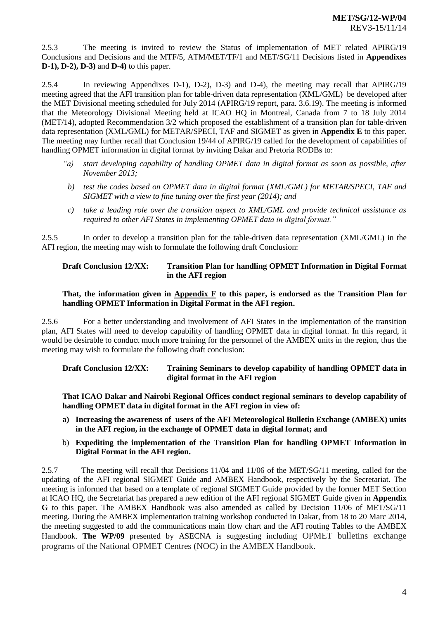2.5.3 The meeting is invited to review the Status of implementation of MET related APIRG/19 Conclusions and Decisions and the MTF/5, ATM/MET/TF/1 and MET/SG/11 Decisions listed in **Appendixes D-1), D-2), D-3)** and **D-4)** to this paper.

2.5.4 In reviewing Appendixes D-1), D-2), D-3) and D-4), the meeting may recall that APIRG/19 meeting agreed that the AFI transition plan for table-driven data representation (XML/GML) be developed after the MET Divisional meeting scheduled for July 2014 (APIRG/19 report, para. 3.6.19). The meeting is informed that the Meteorology Divisional Meeting held at ICAO HQ in Montreal, Canada from 7 to 18 July 2014 (MET/14), adopted Recommendation 3/2 which proposed the establishment of a transition plan for table-driven data representation (XML/GML) for METAR/SPECI, TAF and SIGMET as given in **Appendix E** to this paper. The meeting may further recall that Conclusion 19/44 of APIRG/19 called for the development of capabilities of handling OPMET information in digital format by inviting Dakar and Pretoria RODBs to:

- *"a) start developing capability of handling OPMET data in digital format as soon as possible, after November 2013;*
- *b) test the codes based on OPMET data in digital format (XML/GML) for METAR/SPECI, TAF and SIGMET with a view to fine tuning over the first year (2014); and*
- *c) take a leading role over the transition aspect to XML/GML and provide technical assistance as required to other AFI States in implementing OPMET data in digital format."*

2.5.5 In order to develop a transition plan for the table-driven data representation (XML/GML) in the AFI region, the meeting may wish to formulate the following draft Conclusion:

## **Draft Conclusion 12/XX: Transition Plan for handling OPMET Information in Digital Format in the AFI region**

### **That, the information given in Appendix F to this paper, is endorsed as the Transition Plan for handling OPMET Information in Digital Format in the AFI region.**

2.5.6 For a better understanding and involvement of AFI States in the implementation of the transition plan, AFI States will need to develop capability of handling OPMET data in digital format. In this regard, it would be desirable to conduct much more training for the personnel of the AMBEX units in the region, thus the meeting may wish to formulate the following draft conclusion:

**Draft Conclusion 12/XX: Training Seminars to develop capability of handling OPMET data in digital format in the AFI region**

**That ICAO Dakar and Nairobi Regional Offices conduct regional seminars to develop capability of handling OPMET data in digital format in the AFI region in view of:**

- **a) Increasing the awareness of users of the AFI Meteorological Bulletin Exchange (AMBEX) units in the AFI region, in the exchange of OPMET data in digital format; and**
- b) **Expediting the implementation of the Transition Plan for handling OPMET Information in Digital Format in the AFI region.**

2.5.7 The meeting will recall that Decisions 11/04 and 11/06 of the MET/SG/11 meeting, called for the updating of the AFI regional SIGMET Guide and AMBEX Handbook, respectively by the Secretariat. The meeting is informed that based on a template of regional SIGMET Guide provided by the former MET Section at ICAO HQ, the Secretariat has prepared a new edition of the AFI regional SIGMET Guide given in **Appendix G** to this paper. The AMBEX Handbook was also amended as called by Decision 11/06 of MET/SG/11 meeting. During the AMBEX implementation training workshop conducted in Dakar, from 18 to 20 Marc 2014, the meeting suggested to add the communications main flow chart and the AFI routing Tables to the AMBEX Handbook. **The WP/09** presented by ASECNA is suggesting including OPMET bulletins exchange programs of the National OPMET Centres (NOC) in the AMBEX Handbook.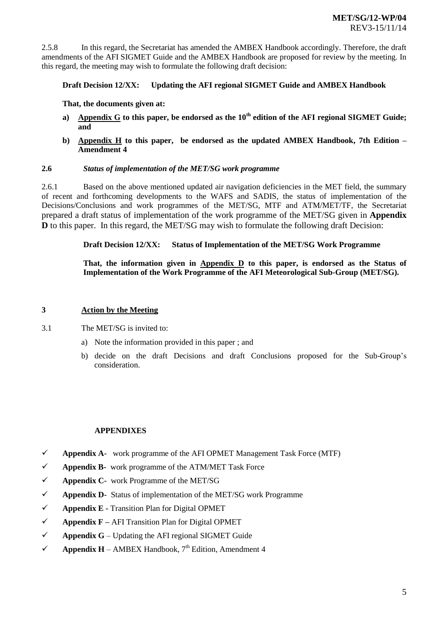2.5.8 In this regard, the Secretariat has amended the AMBEX Handbook accordingly. Therefore, the draft amendments of the AFI SIGMET Guide and the AMBEX Handbook are proposed for review by the meeting. In this regard, the meeting may wish to formulate the following draft decision:

### **Draft Decision 12/XX: Updating the AFI regional SIGMET Guide and AMBEX Handbook**

**That, the documents given at:**

- **a) Appendix G to this paper, be endorsed as the 10th edition of the AFI regional SIGMET Guide; and**
- **b) Appendix H to this paper, be endorsed as the updated AMBEX Handbook, 7th Edition – Amendment 4**

### **2.6** *Status of implementation of the MET/SG work programme*

2.6.1 Based on the above mentioned updated air navigation deficiencies in the MET field, the summary of recent and forthcoming developments to the WAFS and SADIS, the status of implementation of the Decisions/Conclusions and work programmes of the MET/SG, MTF and ATM/MET/TF, the Secretariat prepared a draft status of implementation of the work programme of the MET/SG given in **Appendix D** to this paper. In this regard, the MET/SG may wish to formulate the following draft Decision:

**Draft Decision 12/XX: Status of Implementation of the MET/SG Work Programme**

**That, the information given in Appendix D to this paper, is endorsed as the Status of Implementation of the Work Programme of the AFI Meteorological Sub-Group (MET/SG).**

#### **3 Action by the Meeting**

- 3.1 The MET/SG is invited to:
	- a) Note the information provided in this paper ; and
	- b) decide on the draft Decisions and draft Conclusions proposed for the Sub-Group's consideration.

### **APPENDIXES**

- **Appendix A-** work programme of the AFI OPMET Management Task Force (MTF)
- **Appendix B-** work programme of the ATM/MET Task Force
- **Appendix C-** work Programme of the MET/SG
- **Appendix D-** Status of implementation of the MET/SG work Programme
- **Appendix E -** Transition Plan for Digital OPMET
- **Appendix F –** AFI Transition Plan for Digital OPMET
- $\checkmark$  **Appendix**  $G$  Updating the AFI regional SIGMET Guide
- **Appendix H** AMBEX Handbook,  $7<sup>th</sup>$  Edition, Amendment 4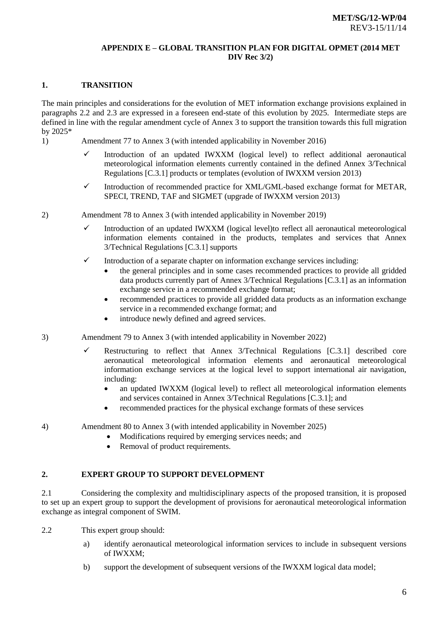### **APPENDIX E – GLOBAL TRANSITION PLAN FOR DIGITAL OPMET (2014 MET DIV Rec 3/2)**

## **1. TRANSITION**

The main principles and considerations for the evolution of MET information exchange provisions explained in paragraphs 2.2 and 2.3 are expressed in a foreseen end-state of this evolution by 2025. Intermediate steps are defined in line with the regular amendment cycle of Annex 3 to support the transition towards this full migration by 2025\*

- 1) Amendment 77 to Annex 3 (with intended applicability in November 2016)
	- $\checkmark$  Introduction of an updated IWXXM (logical level) to reflect additional aeronautical meteorological information elements currently contained in the defined Annex 3/Technical Regulations [C.3.1] products or templates (evolution of IWXXM version 2013)
	- $\checkmark$  Introduction of recommended practice for XML/GML-based exchange format for METAR, SPECI, TREND, TAF and SIGMET (upgrade of IWXXM version 2013)
- 2) Amendment 78 to Annex 3 (with intended applicability in November 2019)
	- $\checkmark$  Introduction of an updated IWXXM (logical level)to reflect all aeronautical meteorological information elements contained in the products, templates and services that Annex 3/Technical Regulations [C.3.1] supports
	- $\checkmark$  Introduction of a separate chapter on information exchange services including:
		- the general principles and in some cases recommended practices to provide all gridded data products currently part of Annex 3/Technical Regulations [C.3.1] as an information exchange service in a recommended exchange format;
		- recommended practices to provide all gridded data products as an information exchange service in a recommended exchange format; and
		- introduce newly defined and agreed services.
- 3) Amendment 79 to Annex 3 (with intended applicability in November 2022)
	- Restructuring to reflect that Annex 3/Technical Regulations  $[C.3.1]$  described core aeronautical meteorological information elements and aeronautical meteorological information exchange services at the logical level to support international air navigation, including:
		- an updated IWXXM (logical level) to reflect all meteorological information elements and services contained in Annex 3/Technical Regulations [C.3.1]; and
		- recommended practices for the physical exchange formats of these services
- 4) Amendment 80 to Annex 3 (with intended applicability in November 2025)
	- Modifications required by emerging services needs; and
	- Removal of product requirements.

## **2. EXPERT GROUP TO SUPPORT DEVELOPMENT**

2.1 Considering the complexity and multidisciplinary aspects of the proposed transition, it is proposed to set up an expert group to support the development of provisions for aeronautical meteorological information exchange as integral component of SWIM.

- 2.2 This expert group should:
	- a) identify aeronautical meteorological information services to include in subsequent versions of IWXXM;
	- b) support the development of subsequent versions of the IWXXM logical data model;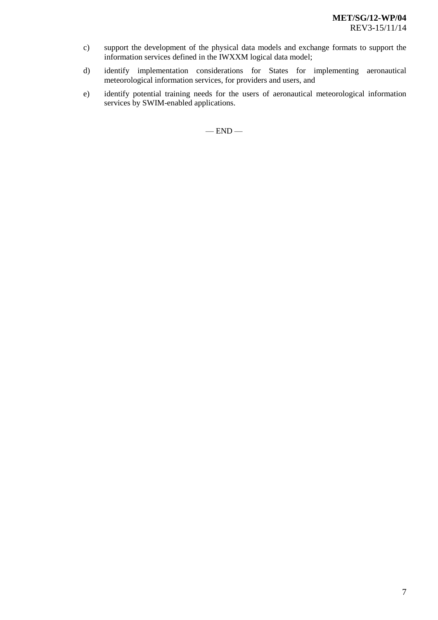- c) support the development of the physical data models and exchange formats to support the information services defined in the IWXXM logical data model;
- d) identify implementation considerations for States for implementing aeronautical meteorological information services, for providers and users, and
- e) identify potential training needs for the users of aeronautical meteorological information services by SWIM-enabled applications.

 $-$  END  $-$